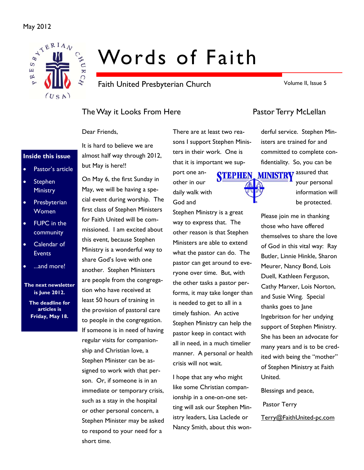### May 2012



# Words of Faith

Faith United Presbyterian Church

Volume II, Issue 5

## The Way it Looks From Here **Pastor Terry McLellan**

Dear Friends,

### **Inside this issue**

- Pastor's article
- Stephen **Ministry**
- **Presbyterian** Women
- FUPC in the community
- Calendar of **Events**
- ...and more!

### **The next newsletter is June 2012.**

**The deadline for articles is Friday, May 18.** 

It is hard to believe we are almost half way through 2012, but May is here!!

On May 6, the first Sunday in May, we will be having a special event during worship. The first class of Stephen Ministers for Faith United will be commissioned. I am excited about this event, because Stephen Ministry is a wonderful way to share God's love with one another. Stephen Ministers are people from the congregation who have received at least 50 hours of training in the provision of pastoral care to people in the congregation. If someone is in need of having regular visits for companionship and Christian love, a Stephen Minister can be assigned to work with that person. Or, if someone is in an immediate or temporary crisis, such as a stay in the hospital or other personal concern, a Stephen Minister may be asked to respond to your need for a short time.

There are at least two reasons I support Stephen Ministers in their work. One is that it is important we sup-

port one another in our daily walk with God and

Stephen Ministry is a great way to express that. The other reason is that Stephen Ministers are able to extend what the pastor can do. The pastor can get around to everyone over time. But, with the other tasks a pastor performs, it may take longer than is needed to get to all in a timely fashion. An active Stephen Ministry can help the pastor keep in contact with all in need, in a much timelier manner. A personal or health crisis will not wait.

I hope that any who might like some Christian companionship in a one-on-one setting will ask our Stephen Ministry leaders, Lisa Laclede or Nancy Smith, about this won-

derful service. Stephen Ministers are trained for and committed to complete confidentiality. So, you can be



your personal information will be protected.

Please join me in thanking those who have offered themselves to share the love of God in this vital way: Ray Butler, Linnie Hinkle, Sharon Meurer, Nancy Bond, Lois Duell, Kathleen Ferguson, Cathy Marxer, Lois Norton, and Susie Wing. Special thanks goes to Jane Ingebritson for her undying support of Stephen Ministry. She has been an advocate for many years and is to be credited with being the "mother" of Stephen Ministry at Faith United.

Blessings and peace,

Pastor Terry

Terry@FaithUnited-pc.com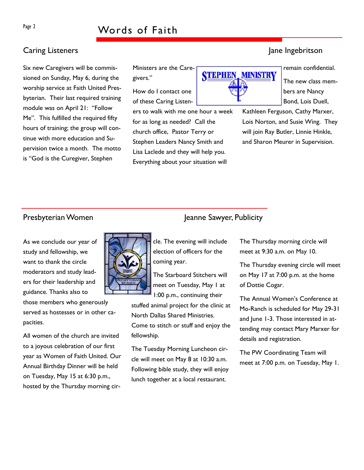## Page 2 Words of Faith

## **Caring Listeners Caring Listeners Jane Ingebritson**

Six new Caregivers will be commissioned on Sunday, May 6, during the worship service at Faith United Presbyterian. Their last required training module was on April 21: "Follow Me". This fulfilled the required fifty hours of training; the group will continue with more education and Supervision twice a month. The motto is "God is the Curegiver, Stephen

Ministers are the Caregivers."

How do I contact one of these Caring Listen-

ers to walk with me one hour a week for as long as needed? Call the church office, Pastor Terry or Stephen Leaders Nancy Smith and Lisa Laclede and they will help you. Everything about your situation will



remain confidential.

The new class members are Nancy Bond, Lois Duell,

Kathleen Ferguson, Cathy Marxer, Lois Norton, and Susie Wing. They will join Ray Butler, Linnie Hinkle, and Sharon Meurer in Supervision.

### Presbyterian Women Jeanne Sawyer, Publicity

As we conclude our year of study and fellowship, we want to thank the circle moderators and study leaders for their leadership and guidance. Thanks also to

those members who generously served as hostesses or in other capacities.

All women of the church are invited to a joyous celebration of our first year as Women of Faith United. Our Annual Birthday Dinner will be held on Tuesday, May 15 at 6:30 p.m., hosted by the Thursday morning cir-



cle. The evening will include election of officers for the coming year.

The Starboard Stitchers will meet on Tuesday, May 1 at 1:00 p.m., continuing their

stuffed animal project for the clinic at North Dallas Shared Ministries. Come to stitch or stuff and enjoy the fellowship.

The Tuesday Morning Luncheon circle will meet on May 8 at 10:30 a.m. Following bible study, they will enjoy lunch together at a local restaurant.

The Thursday morning circle will meet at 9:30 a.m. on May 10.

The Thursday evening circle will meet on May 17 at 7:00 p.m. at the home of Dottie Cogar.

The Annual Women's Conference at Mo-Ranch is scheduled for May 29-31 and June 1-3. Those interested in attending may contact Mary Marxer for details and registration.

The PW Coordinating Team will meet at 7:00 p.m. on Tuesday, May 1.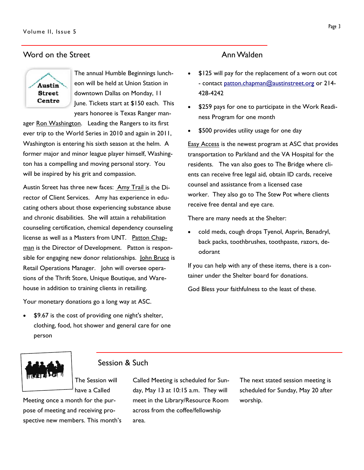### Word on the Street **Ann Walden**



The annual Humble Beginnings luncheon will be held at Union Station in downtown Dallas on Monday, 11 June. Tickets start at \$150 each. This years honoree is Texas Ranger man-

ager Ron Washington. Leading the Rangers to its first ever trip to the World Series in 2010 and again in 2011, Washington is entering his sixth season at the helm. A former major and minor league player himself, Washington has a compelling and moving personal story. You will be inspired by his grit and compassion.

Austin Street has three new faces: Amy Trail is the Director of Client Services. Amy has experience in educating others about those experiencing substance abuse and chronic disabilities. She will attain a rehabilitation counseling certification, chemical dependency counseling license as well as a Masters from UNT. Patton Chapman is the Director of Development. Patton is responsible for engaging new donor relationships. John Bruce is Retail Operations Manager. John will oversee operations of the Thrift Store, Unique Boutique, and Warehouse in addition to training clients in retailing.

Your monetary donations go a long way at ASC.

• \$9.67 is the cost of providing one night's shelter, clothing, food, hot shower and general care for one person

- \$125 will pay for the replacement of a worn out cot - contact patton.chapman@austinstreet.org or 214-428-4242
- \$259 pays for one to participate in the Work Readiness Program for one month
- \$500 provides utility usage for one day

**Easy Access is the newest program at ASC that provides** transportation to Parkland and the VA Hospital for the residents. The van also goes to The Bridge where clients can receive free legal aid, obtain ID cards, receive counsel and assistance from a licensed case worker. They also go to The Stew Pot where clients receive free dental and eye care.

There are many needs at the Shelter:

• cold meds, cough drops Tyenol, Asprin, Benadryl, back packs, toothbrushes, toothpaste, razors, deodorant

If you can help with any of these items, there is a container under the Shelter board for donations.

God Bless your faithfulness to the least of these.



### Session & Such

The Session will have a Called

Meeting once a month for the purpose of meeting and receiving prospective new members. This month's Called Meeting is scheduled for Sunday, May 13 at 10:15 a.m. They will meet in the Library/Resource Room across from the coffee/fellowship area.

The next stated session meeting is scheduled for Sunday, May 20 after worship.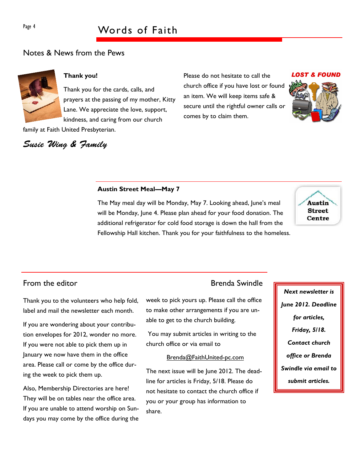## Page 4 Words of Faith

### Notes & News from the Pews

Susie Wing & Family



### **Thank you!**

Thank you for the cards, calls, and prayers at the passing of my mother, Kitty Lane. We appreciate the love, support, kindness, and caring from our church family at Faith United Presbyterian.

Please do not hesitate to call the church office if you have lost or found an item. We will keep items safe & secure until the rightful owner calls or comes by to claim them.



### **Austin Street Meal—May 7**

The May meal day will be Monday, May 7. Looking ahead, June's meal will be Monday, June 4. Please plan ahead for your food donation. The additional refrigerator for cold food storage is down the hall from the Fellowship Hall kitchen. Thank you for your faithfulness to the homeless.



From the editor **Brenda** Swindle

Thank you to the volunteers who help fold, label and mail the newsletter each month.

If you are wondering about your contribution envelopes for 2012, wonder no more. If you were not able to pick them up in January we now have them in the office area. Please call or come by the office during the week to pick them up.

Also, Membership Directories are here! They will be on tables near the office area. If you are unable to attend worship on Sundays you may come by the office during the

week to pick yours up. Please call the office to make other arrangements if you are unable to get to the church building.

 You may submit articles in writing to the church office or via email to

### Brenda@FaithUnited-pc.com

The next issue will be June 2012. The deadline for articles is Friday, 5/18. Please do not hesitate to contact the church office if you or your group has information to share.

*Next newsletter is June 2012. Deadline for articles, Friday, 5/18. Contact church office or Brenda Swindle via email to submit articles.*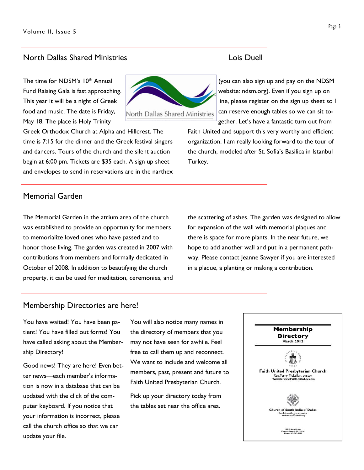### North Dallas Shared Ministries Lois Duell

The time for NDSM's 10<sup>th</sup> Annual Fund Raising Gala is fast approaching. This year it will be a night of Greek food and music. The date is Friday, May 18. The place is Holy Trinity



Greek Orthodox Church at Alpha and Hillcrest. The time is 7:15 for the dinner and the Greek festival singers and dancers. Tours of the church and the silent auction begin at 6:00 pm. Tickets are \$35 each. A sign up sheet and envelopes to send in reservations are in the narthex

(you can also sign up and pay on the NDSM website: ndsm.org). Even if you sign up on line, please register on the sign up sheet so I can reserve enough tables so we can sit together. Let's have a fantastic turn out from

Faith United and support this very worthy and efficient organization. I am really looking forward to the tour of the church, modeled after St. Sofia's Basilica in Istanbul Turkey.

### Memorial Garden

The Memorial Garden in the atrium area of the church was established to provide an opportunity for members to memorialize loved ones who have passed and to honor those living. The garden was created in 2007 with contributions from members and formally dedicated in October of 2008. In addition to beautifying the church property, it can be used for meditation, ceremonies, and the scattering of ashes. The garden was designed to allow for expansion of the wall with memorial plaques and there is space for more plants. In the near future, we hope to add another wall and put in a permanent pathway. Please contact Jeanne Sawyer if you are interested in a plaque, a planting or making a contribution.

### Membership Directories are here!

You have waited! You have been patient! You have filled out forms! You have called asking about the Membership Directory!

Good news! They are here! Even better news—each member's information is now in a database that can be updated with the click of the computer keyboard. If you notice that your information is incorrect, please call the church office so that we can update your file.

You will also notice many names in the directory of members that you may not have seen for awhile. Feel free to call them up and reconnect. We want to include and welcome all members, past, present and future to Faith United Presbyterian Church.

Pick up your directory today from the tables set near the office area.

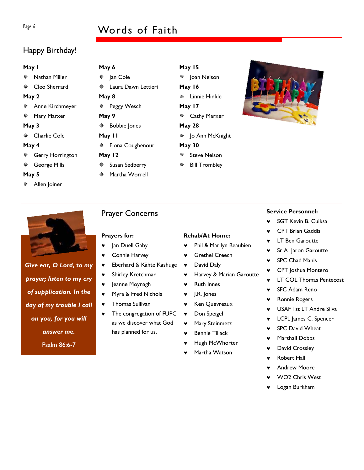## Page 6 Words of Faith

## Happy Birthday!

### **May 1**

Nathan Miller

Cleo Sherrard

### **May 2**

- Anne Kirchmeyer
- Mary Marxer

### **May 3**

Charlie Cole

### **May 4**

- Gerry Horrington
- George Mills

### **May 5**

Allen Joiner

| May 6  |                       |  |  |  |  |  |
|--------|-----------------------|--|--|--|--|--|
|        | ※ Jan Cole            |  |  |  |  |  |
|        | * Laura Dawn Lettieri |  |  |  |  |  |
| May 8  |                       |  |  |  |  |  |
|        | ※ Peggy Wesch         |  |  |  |  |  |
| May 9  |                       |  |  |  |  |  |
|        | ※ Bobbie Jones        |  |  |  |  |  |
| May II |                       |  |  |  |  |  |
|        | * Fiona Coughenour    |  |  |  |  |  |

**May 12** 

**May 6** 

 $\mathbf{N}$ 

**May 9** 

 $\mathbf{N}$ 

- Susan Sedberry
- Martha Worrell

**May 15**  Joan Nelson **May 16**  Linnie Hinkle **May 17**  Cathy Marxer **May 28** 

## Jo Ann McKnight

- **May 30**  Steve Nelson
- Bill Trombley



*Give ear, O Lord, to my prayer; listen to my cry of supplication. In the day of my trouble I call on you, for you will answer me.*  Psalm 86:6-7

## Prayer Concerns

### **Prayers for:**

- ♥ Jan Duell Gaby
- 
- ♥ Eberhard & Kähte Kashuge
- ♥ Shirley Kretchmar
- ♥ Jeanne Moynagh
- ♥ Myra & Fred Nichols
- ♥ Thomas Sullivan
- The congregation of FUPC as we discover what God has planned for us.

### **Rehab/At Home:**

- ♥ Phil & Marilyn Beaubien
- ♥ Grethel Creech
- David Daly
- ♥ Harvey & Marian Garoutte
- ♥ Ruth Innes
- ♥ J.R. Jones
- ♥ Ken Quevreaux
- ♥ Don Speigel
- ♥ Mary Steinmetz
- Bennie Tillack
- Hugh McWhorter
- Martha Watson

### **Service Personnel:**

- ♥ SGT Kevin B. Cuiksa
- **CPT Brian Gaddis**
- **LT Ben Garoutte**
- Sr A Jaron Garoutte
- ♥ SPC Chad Manis
- ♥ CPT Joshua Montero
- ♥ LT COL Thomas Pentecost
- **SFC Adam Reno**
- ♥ Ronnie Rogers
- ♥ USAF 1st LT Andre Silva
- ♥ LCPL James C. Spencer
- SPC David Wheat
- Marshall Dobbs
- ♥ David Crossley
- **Robert Hall**
- ♥ Andrew Moore
- WO<sub>2</sub> Chris West
- Logan Burkham

- 
- ♥ Connie Harvey
- 
- 
- 
- 
- 
-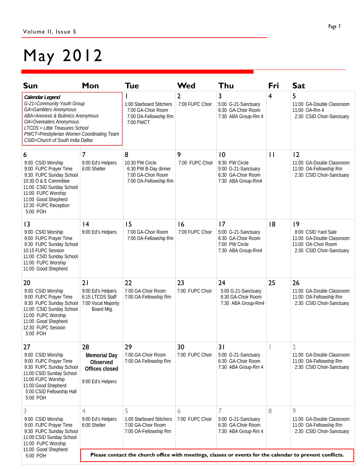# May 2012

| Sun                                                                                                                                                                                                                                                         | Mon                                                                                                      | <b>Tue</b>                                                                                  | Wed                               | Thu                                                                                     | Fri            | <b>Sat</b>                                                                                                |  |
|-------------------------------------------------------------------------------------------------------------------------------------------------------------------------------------------------------------------------------------------------------------|----------------------------------------------------------------------------------------------------------|---------------------------------------------------------------------------------------------|-----------------------------------|-----------------------------------------------------------------------------------------|----------------|-----------------------------------------------------------------------------------------------------------|--|
| Calendar Legend<br>G-21=Community Youth Group<br>GA=Gamblers Anonymous<br>ABA=Anorexic & Bulimics Anonymous<br>OA=Overeaters Anonymous<br>LTCDS = Little Treasures School<br>PWCT=Presbyterian Women Coordinating Team<br>CSID=Church of South India Dallas |                                                                                                          | 1:00 Starboard Stitchers<br>7:00 GA-Choir Room<br>7:00 OA-Fellowship Rm<br>7:00 PWCT        | $\overline{2}$<br>7:00 FUPC Choir | 3<br>5:00 G-21-Sanctuary<br>6:30 GA-Choir Room<br>7:30 ABA Group-Rm 4                   | $\overline{4}$ | 5<br>11:00 GA-Double Classroom<br>11:00 OA-Rm 4<br>2:30 CSID Choir-Sanctuary                              |  |
| 6<br>9:00 CSID Worship<br>9:00 FUPC Prayer Time<br>9:30 FUPC Sunday School<br>10:30 O & E Committee                                                                                                                                                         | 7<br>9:00 Ed's Helpers<br>6:00 Shelter                                                                   | 8<br>10:30 PW Circle<br>6:30 PW B-Day dinner<br>7:00 GA-Choir Room<br>7:00 OA-Fellowship Rm | 9<br>7:00 FUPC Choir              | 10<br>9:30 PW Circle<br>5:00 G-21-Sanctuary<br>6:30 GA-Choir Room<br>7:30 ABA Group-Rm4 | $\mathbf{1}$   | 12<br>11:00 GA-Double Classroom<br>11:00 OA-Fellowship Rm<br>2:30 CSID Choir-Sanctuary                    |  |
| 11:00 CSID Sunday School<br>11:00 FUPC Worship<br>11:00 Good Shepherd<br>12:30 FUPC Reception<br>5:00 POH                                                                                                                                                   |                                                                                                          |                                                                                             |                                   |                                                                                         |                |                                                                                                           |  |
| 3<br>9:00 CSID Worship<br>9:00 FUPC Prayer Time<br>9:30 FUPC Sunday School<br>10:15 FUPC Session<br>11:00 CSID Sunday School<br>11:00 FUPC Worship<br>11:00 Good Shepherd                                                                                   | 4<br>9:00 Ed's Helpers                                                                                   | 15<br>7:00 GA-Choir Room<br>7:00 OA-Fellowship Rm                                           | 16<br>7:00 FUPC Choir             | 17<br>5:00 G-21-Sanctuary<br>6:30 GA-Choir Room<br>7:00 PW Circle<br>7:30 ABA Group-Rm4 | 8              | 9<br>8:00 CSID Yard Sale<br>11:00 GA-Double Classroom<br>11:00 OA-Choir Room<br>2:30 CSID Choir-Sanctuary |  |
| 20<br>9:00 CSID Worship<br>9:00 FUPC Prayer Time<br>9:30 FUPC Sunday School<br>11:00 CSID Sunday School<br>11:00 FUPC Worship<br>11:00 Good Shepherd<br>12:30 FUPC Session<br>5:00 POH                                                                      | 21<br>9:00 Ed's Helpers<br>6:15 LTCDS Staff<br>7:00 Vocal Majority<br>Board Mtg.                         | 22<br>7:00 GA-Choir Room<br>7:00 OA-Fellowship Rm                                           | 23<br>7:00 FUPC Choir             | 24<br>5:00 G-21-Sanctuary<br>6:30 GA-Choir Room<br>7:30 ABA Group-Rm4                   | 25             | 26<br>11:00 GA-Double Classroom<br>11:00 OA-Fellowship Rm<br>2:30 CSID Choir-Sanctuary                    |  |
| 27<br>9:00 CSID Worship<br>9:00 FUPC Prayer Time<br>9:30 FUPC Sunday School<br>11:00 CSID Sunday School<br>11:00 FUPC Worship<br>11:00 Good Shepherd<br>5:00 CSID Fellowship Hall<br>5:00 POH                                                               | 28<br>Memorial Day<br>Observed<br>Offices closed<br>9:00 Ed's Helpers                                    | 29<br>7:00 GA-Choir Room<br>7:00 OA Fellowship Rm                                           | 30<br>7:00 FUPC Choir             | 31<br>5:00 G-21-Sanctuary<br>6:30 GA-Choir Room<br>7:30 ABA Group-Rm 4                  |                | 2<br>11:00 GA-Double Classroom<br>11:00 OA-Fellowship Rm<br>2:30 CSID Choir-Sanctuary                     |  |
| 3<br>9:00 CSID Worship<br>9:00 FUPC Prayer Time<br>9:30 FUPC Sunday School<br>11:00 CSID Sunday School                                                                                                                                                      | 4<br>9:00 Ed's Helpers<br>6:00 Shelter                                                                   | 5<br>1:00 Starboard Stitchers<br>7:00 GA-Choir Room<br>7:00 OA-Fellowship Rm                | 6<br>7:00 FUPC Choir              | 7<br>5:00 G-21-Sanctuary<br>6:30 GA-Choir Room<br>7:30 ABA Group-Rm 4                   | 8              | 9<br>11:00 GA-Double Classroom<br>11:00 OA-Fellowship Rm<br>2:30 CSID Choir-Sanctuary                     |  |
| 11:00 FUPC Worship<br>11:00 Good Shepherd<br>5:00 POH                                                                                                                                                                                                       | Please contact the church office with meetings, classes or events for the calendar to prevent conflicts. |                                                                                             |                                   |                                                                                         |                |                                                                                                           |  |